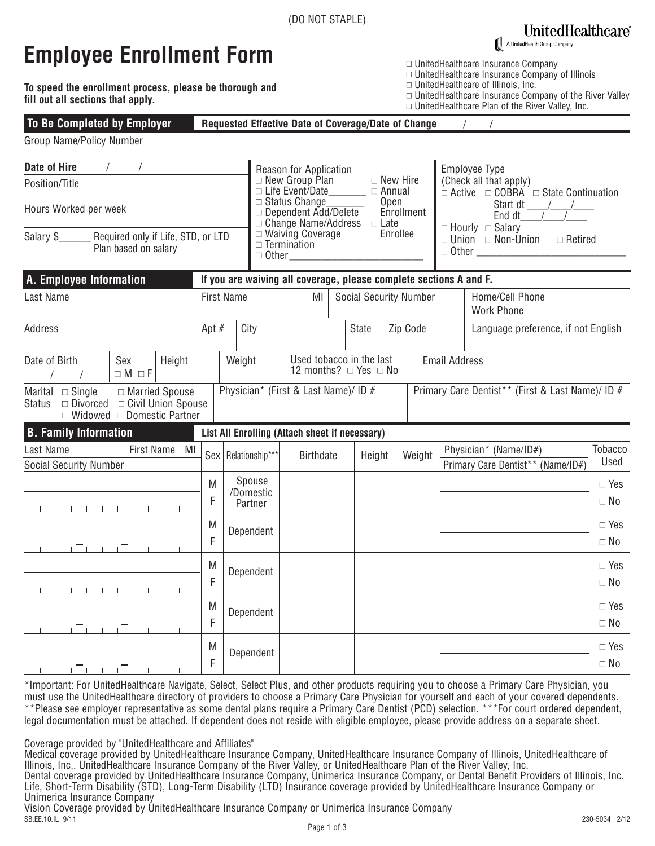### **UnitedHealthcare**®

A UnitedHealth Group Company

 $\Box$  UnitedHealthcare Insurance Company

 $\square$  UnitedHealthcare of Illinois, Inc.

 $\Box$  UnitedHealthcare Insurance Company of Illinois

 $\Box$  UnitedHealthcare Plan of the River Valley, Inc.

 $\Box$  UnitedHealthcare Insurance Company of the River Valley

## **Employee Enrollment Form**

**To speed the enrollment process, please be thorough and fill out all sections that apply.**

#### **Requested Effective Date of Coverage/Date of Change To Be Completed by Employer**

Group Name/Policy Number

| <b>Date of Hire</b><br>Position/Title                                                                                  |                                            |               |         |                                                             | Reason for Application<br>$\Box$ New Group Plan<br>$\Box$ New Hire<br>$\Box$ Life Event/Date<br>$\Box$ Annual         |                                                                           |                  |                               |                                                                    | Employee Type<br>(Check all that apply)<br>$\Box$ Active $\Box$ COBRA $\Box$ State Continuation<br>End dt $\qquad$ / |                      |                                                                                |                                                            |                         |
|------------------------------------------------------------------------------------------------------------------------|--------------------------------------------|---------------|---------|-------------------------------------------------------------|-----------------------------------------------------------------------------------------------------------------------|---------------------------------------------------------------------------|------------------|-------------------------------|--------------------------------------------------------------------|----------------------------------------------------------------------------------------------------------------------|----------------------|--------------------------------------------------------------------------------|------------------------------------------------------------|-------------------------|
| Hours Worked per week                                                                                                  |                                            |               |         |                                                             | □ Status Change_______<br>Open<br>Enrollment<br>$\Box$ Dependent Add/Delete<br>$\Box$ Change Name/Address $\Box$ Late |                                                                           |                  |                               |                                                                    |                                                                                                                      |                      |                                                                                |                                                            |                         |
| Salary \$<br>Required only if Life, STD, or LTD<br>Plan based on salary                                                |                                            |               |         |                                                             |                                                                                                                       | $\Box$ Waiving Coverage<br>Enrollee<br>$\Box$ Termination<br>$\Box$ Other |                  |                               |                                                                    |                                                                                                                      |                      | $\Box$ Hourly $\Box$ Salary<br>$\Box$ Union $\Box$ Non-Union<br>$\Box$ Retired |                                                            |                         |
| A. Employee Information                                                                                                |                                            |               |         |                                                             |                                                                                                                       |                                                                           |                  |                               | If you are waiving all coverage, please complete sections A and F. |                                                                                                                      |                      |                                                                                |                                                            |                         |
| Last Name                                                                                                              |                                            |               |         | <b>First Name</b>                                           | MI                                                                                                                    |                                                                           |                  | <b>Social Security Number</b> |                                                                    |                                                                                                                      |                      | Home/Cell Phone<br><b>Work Phone</b>                                           |                                                            |                         |
| <b>Address</b>                                                                                                         |                                            |               | Apt $#$ | City                                                        |                                                                                                                       |                                                                           |                  | State                         |                                                                    | Zip Code                                                                                                             |                      | Language preference, if not English                                            |                                                            |                         |
| Date of Birth<br>$\sqrt{ }$                                                                                            | Sex<br>Height<br>Weight<br>$\Box M \Box F$ |               |         | Used tobacco in the last<br>12 months? $\Box$ Yes $\Box$ No |                                                                                                                       |                                                                           |                  |                               |                                                                    |                                                                                                                      | <b>Email Address</b> |                                                                                |                                                            |                         |
| Marital $\Box$ Single<br>$\Box$ Divorced $\Box$ Civil Union Spouse<br>Status<br>$\Box$ Widowed $\Box$ Domestic Partner | □ Married Spouse                           |               |         |                                                             | Physician* (First & Last Name)/ ID #                                                                                  |                                                                           |                  |                               |                                                                    |                                                                                                                      |                      |                                                                                | Primary Care Dentist** (First & Last Name)/ ID #           |                         |
| <b>B.</b> Family Information                                                                                           |                                            |               |         |                                                             |                                                                                                                       |                                                                           |                  |                               | List All Enrolling (Attach sheet if necessary)                     |                                                                                                                      |                      |                                                                                |                                                            |                         |
| Last Name<br><b>Social Security Number</b>                                                                             |                                            | First Name MI |         |                                                             | Sex   Relationship***                                                                                                 |                                                                           | <b>Birthdate</b> |                               | Height                                                             |                                                                                                                      | Weight               |                                                                                | Physician* (Name/ID#)<br>Primary Care Dentist** (Name/ID#) | Tobacco<br>Used         |
| <u>n - I - Trono Trononon</u>                                                                                          |                                            |               | M<br>F  |                                                             | Spouse<br>/Domestic<br>Partner                                                                                        |                                                                           |                  |                               |                                                                    |                                                                                                                      |                      |                                                                                |                                                            | $\Box$ Yes<br>$\Box$ No |
| _____ <del>__</del> ___ <del>_</del> ________                                                                          |                                            |               | M<br>F  |                                                             | Dependent                                                                                                             |                                                                           |                  |                               |                                                                    |                                                                                                                      |                      |                                                                                |                                                            | $\Box$ Yes<br>$\Box$ No |
|                                                                                                                        |                                            |               | M<br>F  |                                                             | Dependent                                                                                                             |                                                                           |                  |                               |                                                                    |                                                                                                                      |                      |                                                                                |                                                            | $\Box$ Yes<br>$\Box$ No |
| <u> 1   1   1   1   1   1   1   1   1</u>                                                                              |                                            |               | M<br>F  |                                                             | Dependent                                                                                                             |                                                                           |                  |                               |                                                                    |                                                                                                                      |                      |                                                                                |                                                            | $\Box$ Yes<br>$\Box$ No |
| 1 1 1 1 1 1 1 1 1 1 1 1                                                                                                |                                            |               | M<br>F  |                                                             | Dependent                                                                                                             |                                                                           |                  |                               |                                                                    |                                                                                                                      |                      |                                                                                |                                                            | $\Box$ Yes<br>$\Box$ No |

\*Important: For UnitedHealthcare Navigate, Select, Select Plus, and other products requiring you to choose a Primary Care Physician, you must use the UnitedHealthcare directory of providers to choose a Primary Care Physician for yourself and each of your covered dependents. \*\*Please see employer representative as some dental plans require a Primary Care Dentist (PCD) selection. \*\*\*For court ordered dependent, legal documentation must be attached. If dependent does not reside with eligible employee, please provide address on a separate sheet.

Coverage provided by "UnitedHealthcare and Affiliates"

Medical coverage provided by UnitedHealthcare Insurance Company, UnitedHealthcare Insurance Company of Illinois, UnitedHealthcare of Illinois, Inc., UnitedHealthcare Insurance Company of the River Valley, or UnitedHealthcare Plan of the River Valley, Inc.

Dental coverage provided by UnitedHealthcare Insurance Company, Unimerica Insurance Company, or Dental Benefit Providers of Illinois, Inc. Life, Short-Term Disability (STD), Long-Term Disability (LTD) Insurance coverage provided by UnitedHealthcare Insurance Company or Unimerica Insurance Company

SB.EE.10.IL 9/11 230-5034 2/12 Vision Coverage provided by UnitedHealthcare Insurance Company or Unimerica Insurance Company<br>SB.EE.10.IL 9/11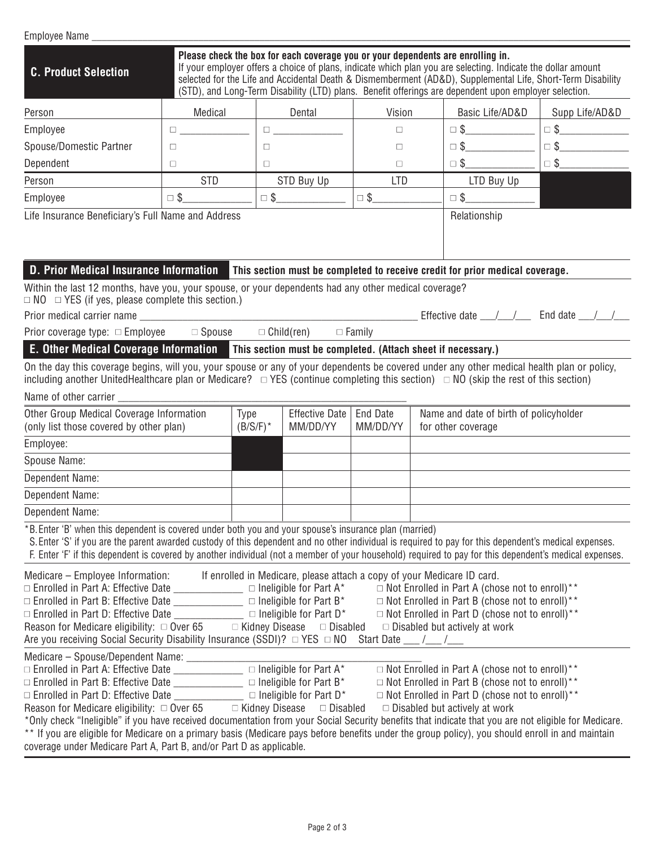| Employee Name                                                                                                                                                                                                                                                                                                                                                                                                                                                                                                                                                                                                                                                                                                                                                                                                                                                                                                                                                                                                                                                                                                                                                                                                                                                                                                                                                                               |                                                                    |                                                                                         |                                                                                                   |               |  |                                                                              |                                                                                                                                                                                     |  |  |
|---------------------------------------------------------------------------------------------------------------------------------------------------------------------------------------------------------------------------------------------------------------------------------------------------------------------------------------------------------------------------------------------------------------------------------------------------------------------------------------------------------------------------------------------------------------------------------------------------------------------------------------------------------------------------------------------------------------------------------------------------------------------------------------------------------------------------------------------------------------------------------------------------------------------------------------------------------------------------------------------------------------------------------------------------------------------------------------------------------------------------------------------------------------------------------------------------------------------------------------------------------------------------------------------------------------------------------------------------------------------------------------------|--------------------------------------------------------------------|-----------------------------------------------------------------------------------------|---------------------------------------------------------------------------------------------------|---------------|--|------------------------------------------------------------------------------|-------------------------------------------------------------------------------------------------------------------------------------------------------------------------------------|--|--|
| Please check the box for each coverage you or your dependents are enrolling in.<br>If your employer offers a choice of plans, indicate which plan you are selecting. Indicate the dollar amount<br><b>C. Product Selection</b><br>selected for the Life and Accidental Death & Dismemberment (AD&D), Supplemental Life, Short-Term Disability<br>(STD), and Long-Term Disability (LTD) plans. Benefit offerings are dependent upon employer selection.                                                                                                                                                                                                                                                                                                                                                                                                                                                                                                                                                                                                                                                                                                                                                                                                                                                                                                                                      |                                                                    |                                                                                         |                                                                                                   |               |  |                                                                              |                                                                                                                                                                                     |  |  |
| Person                                                                                                                                                                                                                                                                                                                                                                                                                                                                                                                                                                                                                                                                                                                                                                                                                                                                                                                                                                                                                                                                                                                                                                                                                                                                                                                                                                                      | Medical                                                            |                                                                                         | Dental                                                                                            | Vision        |  | Basic Life/AD&D                                                              | Supp Life/AD&D                                                                                                                                                                      |  |  |
| Employee                                                                                                                                                                                                                                                                                                                                                                                                                                                                                                                                                                                                                                                                                                                                                                                                                                                                                                                                                                                                                                                                                                                                                                                                                                                                                                                                                                                    | $\Box$ and $\Box$ and $\Box$ and $\Box$                            |                                                                                         | $\begin{tabular}{ c c c } \hline \quad \quad & \quad \quad & \quad \quad \\ \hline \end{tabular}$ | $\Box$        |  | $\Box \$                                                                     | $\begin{tabular}{ c c c } \hline \quad & \quad & \quad & \quad \quad & \quad \quad \\ \hline \quad \quad & \quad & \quad \quad & \quad \quad & \quad \quad \\ \hline \end{tabular}$ |  |  |
| Spouse/Domestic Partner                                                                                                                                                                                                                                                                                                                                                                                                                                                                                                                                                                                                                                                                                                                                                                                                                                                                                                                                                                                                                                                                                                                                                                                                                                                                                                                                                                     | □                                                                  | $\Box$                                                                                  |                                                                                                   | $\Box$        |  | $\Box$ \$                                                                    | $\Box$ \$                                                                                                                                                                           |  |  |
| Dependent                                                                                                                                                                                                                                                                                                                                                                                                                                                                                                                                                                                                                                                                                                                                                                                                                                                                                                                                                                                                                                                                                                                                                                                                                                                                                                                                                                                   | $\Box$                                                             | $\Box$                                                                                  |                                                                                                   | $\Box$        |  | $\Box$ \$                                                                    | $\Box$ \$                                                                                                                                                                           |  |  |
| Person                                                                                                                                                                                                                                                                                                                                                                                                                                                                                                                                                                                                                                                                                                                                                                                                                                                                                                                                                                                                                                                                                                                                                                                                                                                                                                                                                                                      | <b>STD</b>                                                         |                                                                                         | STD Buy Up                                                                                        | <b>LTD</b>    |  | LTD Buy Up                                                                   |                                                                                                                                                                                     |  |  |
| Employee                                                                                                                                                                                                                                                                                                                                                                                                                                                                                                                                                                                                                                                                                                                                                                                                                                                                                                                                                                                                                                                                                                                                                                                                                                                                                                                                                                                    | $\Box$ \$                                                          |                                                                                         | $\Box$ \$                                                                                         | $\square$ \$  |  | $\Box$ \$                                                                    |                                                                                                                                                                                     |  |  |
|                                                                                                                                                                                                                                                                                                                                                                                                                                                                                                                                                                                                                                                                                                                                                                                                                                                                                                                                                                                                                                                                                                                                                                                                                                                                                                                                                                                             | Life Insurance Beneficiary's Full Name and Address<br>Relationship |                                                                                         |                                                                                                   |               |  |                                                                              |                                                                                                                                                                                     |  |  |
| <b>D. Prior Medical Insurance Information</b>                                                                                                                                                                                                                                                                                                                                                                                                                                                                                                                                                                                                                                                                                                                                                                                                                                                                                                                                                                                                                                                                                                                                                                                                                                                                                                                                               |                                                                    |                                                                                         |                                                                                                   |               |  | This section must be completed to receive credit for prior medical coverage. |                                                                                                                                                                                     |  |  |
| Within the last 12 months, have you, your spouse, or your dependents had any other medical coverage?<br>$\Box$ NO $\Box$ YES (if yes, please complete this section.)                                                                                                                                                                                                                                                                                                                                                                                                                                                                                                                                                                                                                                                                                                                                                                                                                                                                                                                                                                                                                                                                                                                                                                                                                        |                                                                    |                                                                                         |                                                                                                   |               |  |                                                                              |                                                                                                                                                                                     |  |  |
|                                                                                                                                                                                                                                                                                                                                                                                                                                                                                                                                                                                                                                                                                                                                                                                                                                                                                                                                                                                                                                                                                                                                                                                                                                                                                                                                                                                             |                                                                    |                                                                                         |                                                                                                   |               |  |                                                                              |                                                                                                                                                                                     |  |  |
| Prior coverage type: □ Employee                                                                                                                                                                                                                                                                                                                                                                                                                                                                                                                                                                                                                                                                                                                                                                                                                                                                                                                                                                                                                                                                                                                                                                                                                                                                                                                                                             | $\Box$ Spouse                                                      |                                                                                         | $\Box$ Child(ren)                                                                                 | $\Box$ Family |  |                                                                              |                                                                                                                                                                                     |  |  |
| E. Other Medical Coverage Information This section must be completed. (Attach sheet if necessary.)                                                                                                                                                                                                                                                                                                                                                                                                                                                                                                                                                                                                                                                                                                                                                                                                                                                                                                                                                                                                                                                                                                                                                                                                                                                                                          |                                                                    |                                                                                         |                                                                                                   |               |  |                                                                              |                                                                                                                                                                                     |  |  |
| On the day this coverage begins, will you, your spouse or any of your dependents be covered under any other medical health plan or policy,<br>including another UnitedHealthcare plan or Medicare? $\Box$ YES (continue completing this section) $\Box$ NO (skip the rest of this section)<br>Name of other carrier                                                                                                                                                                                                                                                                                                                                                                                                                                                                                                                                                                                                                                                                                                                                                                                                                                                                                                                                                                                                                                                                         |                                                                    |                                                                                         |                                                                                                   |               |  |                                                                              |                                                                                                                                                                                     |  |  |
| Other Group Medical Coverage Information<br>(only list those covered by other plan)                                                                                                                                                                                                                                                                                                                                                                                                                                                                                                                                                                                                                                                                                                                                                                                                                                                                                                                                                                                                                                                                                                                                                                                                                                                                                                         |                                                                    | Type<br><b>Effective Date</b><br><b>End Date</b><br>$(B/S/F)^*$<br>MM/DD/YY<br>MM/DD/YY |                                                                                                   |               |  | Name and date of birth of policyholder<br>for other coverage                 |                                                                                                                                                                                     |  |  |
| Employee:                                                                                                                                                                                                                                                                                                                                                                                                                                                                                                                                                                                                                                                                                                                                                                                                                                                                                                                                                                                                                                                                                                                                                                                                                                                                                                                                                                                   |                                                                    |                                                                                         |                                                                                                   |               |  |                                                                              |                                                                                                                                                                                     |  |  |
| Spouse Name:                                                                                                                                                                                                                                                                                                                                                                                                                                                                                                                                                                                                                                                                                                                                                                                                                                                                                                                                                                                                                                                                                                                                                                                                                                                                                                                                                                                |                                                                    |                                                                                         |                                                                                                   |               |  |                                                                              |                                                                                                                                                                                     |  |  |
| Dependent Name:                                                                                                                                                                                                                                                                                                                                                                                                                                                                                                                                                                                                                                                                                                                                                                                                                                                                                                                                                                                                                                                                                                                                                                                                                                                                                                                                                                             |                                                                    |                                                                                         |                                                                                                   |               |  |                                                                              |                                                                                                                                                                                     |  |  |
| Dependent Name:                                                                                                                                                                                                                                                                                                                                                                                                                                                                                                                                                                                                                                                                                                                                                                                                                                                                                                                                                                                                                                                                                                                                                                                                                                                                                                                                                                             |                                                                    |                                                                                         |                                                                                                   |               |  |                                                                              |                                                                                                                                                                                     |  |  |
| Dependent Name:                                                                                                                                                                                                                                                                                                                                                                                                                                                                                                                                                                                                                                                                                                                                                                                                                                                                                                                                                                                                                                                                                                                                                                                                                                                                                                                                                                             |                                                                    |                                                                                         |                                                                                                   |               |  |                                                                              |                                                                                                                                                                                     |  |  |
| *B. Enter 'B' when this dependent is covered under both you and your spouse's insurance plan (married)<br>S. Enter 'S' if you are the parent awarded custody of this dependent and no other individual is required to pay for this dependent's medical expenses.<br>F. Enter 'F' if this dependent is covered by another individual (not a member of your household) required to pay for this dependent's medical expenses.                                                                                                                                                                                                                                                                                                                                                                                                                                                                                                                                                                                                                                                                                                                                                                                                                                                                                                                                                                 |                                                                    |                                                                                         |                                                                                                   |               |  |                                                                              |                                                                                                                                                                                     |  |  |
| Medicare – Employee Information: If enrolled in Medicare, please attach a copy of your Medicare ID card.<br>$\Box$ Not Enrolled in Part A (chose not to enroll)**<br>$\Box$ Enrolled in Part B: Effective Date ________________ $\Box$ Ineligible for Part B*<br>$\Box$ Not Enrolled in Part B (chose not to enroll)**<br>$\Box$ Enrolled in Part D: Effective Date _______________________ $\Box$ Ineligible for Part D*<br>$\Box$ Not Enrolled in Part D (chose not to enroll)**<br>Reason for Medicare eligibility: $\Box$ Over 65 $\Box$ Kidney Disease $\Box$ Disabled<br>$\Box$ Disabled but actively at work<br>Are you receiving Social Security Disability Insurance (SSDI)? □ YES □ NO<br>Start Date $\frac{1}{\sqrt{2}}$<br>$\begin{array}{l} \textbf{Medicare} - \text{Spouse/Dependent Name:}\ \_\_\_\_\_ \cap \ \textbf{Ineligible for Part A*} \\ \Box \ \textbf{Enrolled in Part A: Effective Date}\ \_\_\_\_\_\_ \cap \ \textbf{Ineligible for Part A*} \end{array}$<br>$\Box$ Not Enrolled in Part A (chose not to enroll)**<br>$\Box$ Not Enrolled in Part B (chose not to enroll)**<br>$\Box$ Enrolled in Part D: Effective Date ______________ $\Box$ Ineligible for Part D*<br>$\Box$ Not Enrolled in Part D (chose not to enroll)**<br>Reason for Medicare eligibility: $\Box$ Over 65 $\Box$ Kidney Disease $\Box$ Disabled<br>$\Box$ Disabled but actively at work |                                                                    |                                                                                         |                                                                                                   |               |  |                                                                              |                                                                                                                                                                                     |  |  |
| *Only check "Ineligible" if you have received documentation from your Social Security benefits that indicate that you are not eligible for Medicare.<br>** If you are eligible for Medicare on a primary basis (Medicare pays before benefits under the group policy), you should enroll in and maintain<br>coverage under Medicare Part A, Part B, and/or Part D as applicable.                                                                                                                                                                                                                                                                                                                                                                                                                                                                                                                                                                                                                                                                                                                                                                                                                                                                                                                                                                                                            |                                                                    |                                                                                         |                                                                                                   |               |  |                                                                              |                                                                                                                                                                                     |  |  |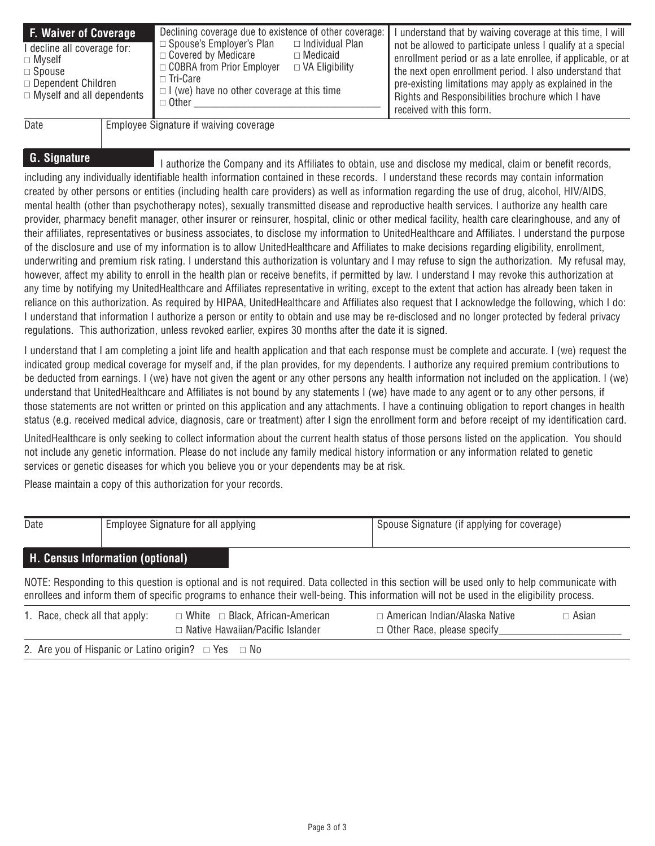| <b>F. Waiver of Coverage</b><br>I decline all coverage for:<br>$\Box$ Myself<br>$\Box$ Spouse<br>$\Box$ Dependent Children<br>$\Box$ Myself and all dependents | Declining coverage due to existence of other coverage:<br>$\Box$ Spouse's Employer's Plan<br>$\Box$ Individual Plan<br>$\Box$ Covered by Medicare<br>$\Box$ Medicaid<br>□ COBRA from Prior Employer<br>$\Box$ VA Eligibility<br>□ Tri-Care<br>$\Box$ (we) have no other coverage at this time<br>$\Box$ Other | I understand that by waiving coverage at this time, I will<br>not be allowed to participate unless I qualify at a special<br>enrollment period or as a late enrollee, if applicable, or at<br>the next open enrollment period. I also understand that<br>pre-existing limitations may apply as explained in the<br>Rights and Responsibilities brochure which I have<br>received with this form. |
|----------------------------------------------------------------------------------------------------------------------------------------------------------------|---------------------------------------------------------------------------------------------------------------------------------------------------------------------------------------------------------------------------------------------------------------------------------------------------------------|--------------------------------------------------------------------------------------------------------------------------------------------------------------------------------------------------------------------------------------------------------------------------------------------------------------------------------------------------------------------------------------------------|
| D <sub>0</sub>                                                                                                                                                 | Employee Cianoture if waiving coverage                                                                                                                                                                                                                                                                        |                                                                                                                                                                                                                                                                                                                                                                                                  |

#### Date Fignature if waiving coverage

**G. Signature** I authorize the Company and its Affiliates to obtain, use and disclose my medical, claim or benefit records, including any individually identifiable health information contained in these records. I understand these records may contain information created by other persons or entities (including health care providers) as well as information regarding the use of drug, alcohol, HIV/AIDS, mental health (other than psychotherapy notes), sexually transmitted disease and reproductive health services. I authorize any health care provider, pharmacy benefit manager, other insurer or reinsurer, hospital, clinic or other medical facility, health care clearinghouse, and any of their affiliates, representatives or business associates, to disclose my information to UnitedHealthcare and Affiliates. I understand the purpose of the disclosure and use of my information is to allow UnitedHealthcare and Affiliates to make decisions regarding eligibility, enrollment, underwriting and premium risk rating. I understand this authorization is voluntary and I may refuse to sign the authorization. My refusal may, however, affect my ability to enroll in the health plan or receive benefits, if permitted by law. I understand I may revoke this authorization at any time by notifying my UnitedHealthcare and Affiliates representative in writing, except to the extent that action has already been taken in reliance on this authorization. As required by HIPAA, UnitedHealthcare and Affiliates also request that I acknowledge the following, which I do: I understand that information I authorize a person or entity to obtain and use may be re-disclosed and no longer protected by federal privacy regulations. This authorization, unless revoked earlier, expires 30 months after the date it is signed.

I understand that I am completing a joint life and health application and that each response must be complete and accurate. I (we) request the indicated group medical coverage for myself and, if the plan provides, for my dependents. I authorize any required premium contributions to be deducted from earnings. I (we) have not given the agent or any other persons any health information not included on the application. I (we) understand that UnitedHealthcare and Affiliates is not bound by any statements I (we) have made to any agent or to any other persons, if those statements are not written or printed on this application and any attachments. I have a continuing obligation to report changes in health status (e.g. received medical advice, diagnosis, care or treatment) after I sign the enrollment form and before receipt of my identification card.

UnitedHealthcare is only seeking to collect information about the current health status of those persons listed on the application. You should not include any genetic information. Please do not include any family medical history information or any information related to genetic services or genetic diseases for which you believe you or your dependents may be at risk.

Please maintain a copy of this authorization for your records.

| Date   | Employee Signature for all applying |               | Spouse Signature (if applying for coverage) |  |  |  |  |
|--------|-------------------------------------|---------------|---------------------------------------------|--|--|--|--|
|        | H. Census Information (optional)    |               |                                             |  |  |  |  |
| ------ |                                     | $\sim$ $\sim$ | .                                           |  |  |  |  |

NOTE: Responding to this question is optional and is not required. Data collected in this section will be used only to help communicate with enrollees and inform them of specific programs to enhance their well-being. This information will not be used in the eligibility process.

| 1. Race, check all that apply:                                | $\Box$ White $\Box$ Black, African-American | $\Box$ American Indian/Alaska Native | □ Asian |  |  |  |  |  |
|---------------------------------------------------------------|---------------------------------------------|--------------------------------------|---------|--|--|--|--|--|
|                                                               | $\Box$ Native Hawaiian/Pacific Islander     | $\Box$ Other Race, please specify    |         |  |  |  |  |  |
| 2. Are you of Hispanic or Latino origin? $\Box$ Yes $\Box$ No |                                             |                                      |         |  |  |  |  |  |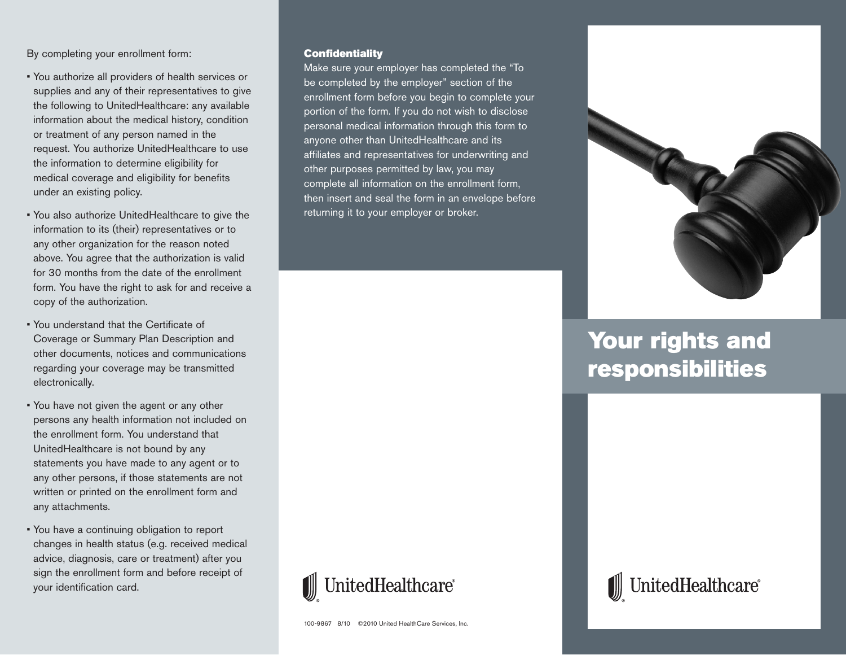By completing your enrollment form:

- You authorize all providers of health services or supplies and any of their representatives to give the following to UnitedHealthcare: any available information about the medical history, condition or treatment of any person named in the request. You authorize UnitedHealthcare to use the information to determine eligibility for medical coverage and eligibility for benefits under an existing policy.
- You also authorize UnitedHealthcare to give the information to its (their) representatives or to any other organization for the reason noted above. You agree that the authorization is valid for 30 months from the date of the enrollment form. You have the right to ask for and receive a copy of the authorization.
- You understand that the Certificate of Coverage or Summary Plan Description and other documents, notices and communications regarding your coverage may be transmitted electronically.
- You have not given the agent or any other persons any health information not included on the enrollment form. You understand that UnitedHealthcare is not bound by any statements you have made to any agent or to any other persons, if those statements are not written or printed on the enrollment form and any attachments.
- You have a continuing obligation to report changes in health status (e.g. received medical advice, diagnosis, care or treatment) after you sign the enrollment form and before receipt of your identification card.

#### **Confidentiality**

Make sure your employer has completed the "To be completed by the employer" section of the enrollment form before you begin to complete your portion of the form. If you do not wish to disclose personal medical information through this form to anyone other than UnitedHealthcare and its affiliates and representatives for underwriting and other purposes permitted by law, you may complete all information on the enrollment form, then insert and seal the form in an envelope before returning it to your employer or broker.



# **Your rights and responsibilities**